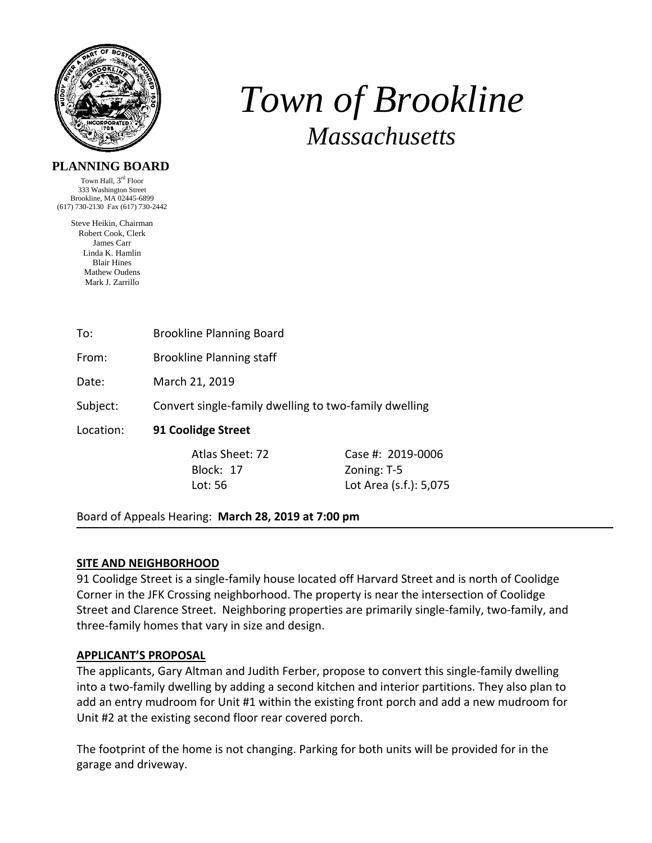

# *Town of Brookline Massachusetts*

# **PLANNING BOARD**

Town Hall, 3rd Floor 333 Washington Street Brookline, MA 02445-6899 (617) 730-2130 Fax (617) 730-2442

> Steve Heikin, Chairman Robert Cook, Clerk James Carr Linda K. Hamlin Blair Hines Mathew Oudens Mark J. Zarrillo

To: Brookline Planning Board

From: Brookline Planning staff

Date: March 21, 2019

Subject: Convert single‐family dwelling to two‐family dwelling

Location: **91 Coolidge Street** 

Block: 17 Zoning: T-5

 Atlas Sheet: 72 Case #: 2019‐0006 Lot: 56 Lot Area (s.f.): 5,075

Board of Appeals Hearing: **March 28, 2019 at 7:00 pm**

#### **SITE AND NEIGHBORHOOD**

91 Coolidge Street is a single-family house located off Harvard Street and is north of Coolidge Corner in the JFK Crossing neighborhood. The property is near the intersection of Coolidge Street and Clarence Street. Neighboring properties are primarily single‐family, two‐family, and three‐family homes that vary in size and design.

# **APPLICANT'S PROPOSAL**

The applicants, Gary Altman and Judith Ferber, propose to convert this single‐family dwelling into a two-family dwelling by adding a second kitchen and interior partitions. They also plan to add an entry mudroom for Unit #1 within the existing front porch and add a new mudroom for Unit #2 at the existing second floor rear covered porch.

The footprint of the home is not changing. Parking for both units will be provided for in the garage and driveway.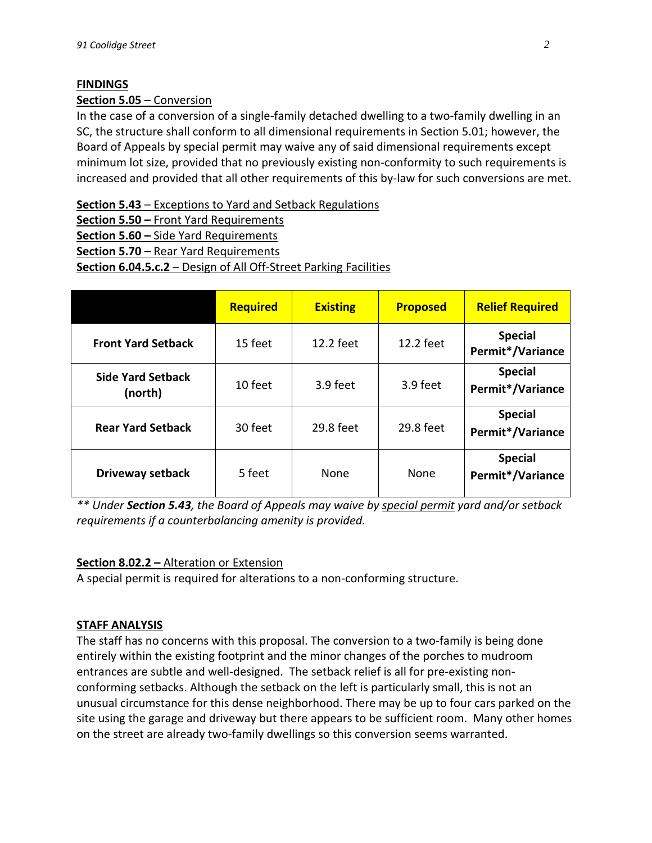# **FINDINGS**

# **Section 5.05** – Conversion

In the case of a conversion of a single‐family detached dwelling to a two‐family dwelling in an SC, the structure shall conform to all dimensional requirements in Section 5.01; however, the Board of Appeals by special permit may waive any of said dimensional requirements except minimum lot size, provided that no previously existing non‐conformity to such requirements is increased and provided that all other requirements of this by‐law for such conversions are met.

**Section 5.43** – Exceptions to Yard and Setback Regulations

**Section 5.50 –** Front Yard Requirements

**Section 5.60 –** Side Yard Requirements

**Section 5.70** – Rear Yard Requirements

**Section 6.04.5.c.2** – Design of All Off‐Street Parking Facilities

|                                     | <b>Required</b> | <b>Existing</b> | <b>Proposed</b> | <b>Relief Required</b>             |
|-------------------------------------|-----------------|-----------------|-----------------|------------------------------------|
| <b>Front Yard Setback</b>           | 15 feet         | 12.2 feet       | 12.2 feet       | <b>Special</b><br>Permit*/Variance |
| <b>Side Yard Setback</b><br>(north) | 10 feet         | 3.9 feet        | 3.9 feet        | <b>Special</b><br>Permit*/Variance |
| <b>Rear Yard Setback</b>            | 30 feet         | 29.8 feet       | 29.8 feet       | <b>Special</b><br>Permit*/Variance |
| Driveway setback                    | 5 feet          | None            | None            | <b>Special</b><br>Permit*/Variance |

*\*\* Under Section 5.43, the Board of Appeals may waive by special permit yard and/or setback requirements if a counterbalancing amenity is provided.*

#### **Section 8.02.2 –** Alteration or Extension

A special permit is required for alterations to a non‐conforming structure.

#### **STAFF ANALYSIS**

The staff has no concerns with this proposal. The conversion to a two‐family is being done entirely within the existing footprint and the minor changes of the porches to mudroom entrances are subtle and well-designed. The setback relief is all for pre-existing nonconforming setbacks. Although the setback on the left is particularly small, this is not an unusual circumstance for this dense neighborhood. There may be up to four cars parked on the site using the garage and driveway but there appears to be sufficient room. Many other homes on the street are already two‐family dwellings so this conversion seems warranted.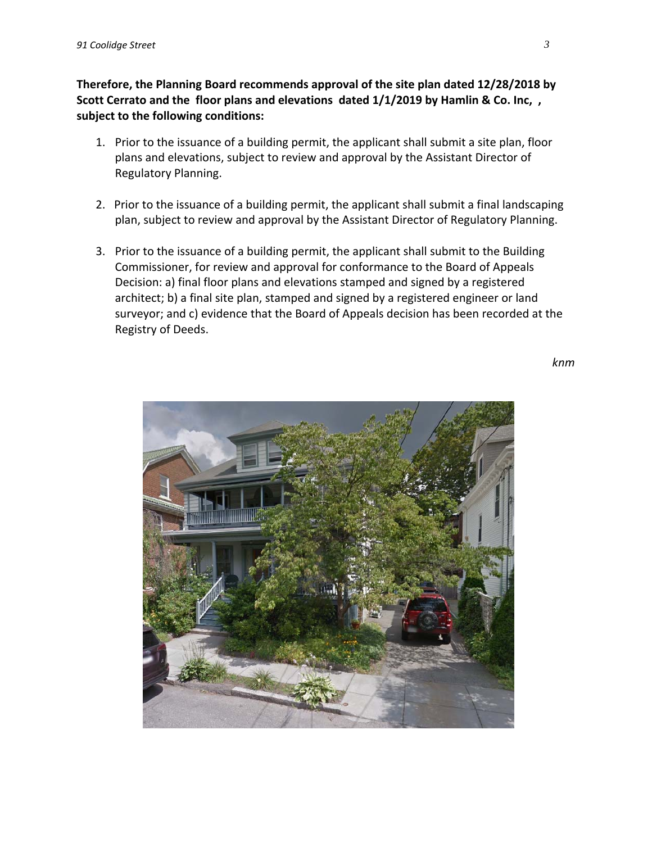**Therefore, the Planning Board recommends approval of the site plan dated 12/28/2018 by Scott Cerrato and the floor plans and elevations dated 1/1/2019 by Hamlin & Co. Inc, , subject to the following conditions:**

- 1. Prior to the issuance of a building permit, the applicant shall submit a site plan, floor plans and elevations, subject to review and approval by the Assistant Director of Regulatory Planning.
- 2. Prior to the issuance of a building permit, the applicant shall submit a final landscaping plan, subject to review and approval by the Assistant Director of Regulatory Planning.
- 3. Prior to the issuance of a building permit, the applicant shall submit to the Building Commissioner, for review and approval for conformance to the Board of Appeals Decision: a) final floor plans and elevations stamped and signed by a registered architect; b) a final site plan, stamped and signed by a registered engineer or land surveyor; and c) evidence that the Board of Appeals decision has been recorded at the Registry of Deeds.

*knm*